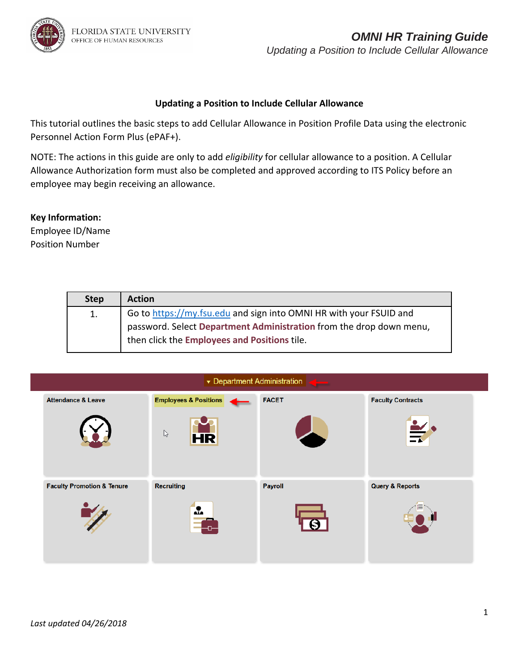### *OMNI HR Training Guide Updating a Position to Include Cellular Allowance*

### **Updating a Position to Include Cellular Allowance**

This tutorial outlines the basic steps to add Cellular Allowance in Position Profile Data using the electronic Personnel Action Form Plus (ePAF+).

NOTE: The actions in this guide are only to add *eligibility* for cellular allowance to a position. A Cellular Allowance Authorization form must also be completed and approved according to ITS Policy before an employee may begin receiving an allowance.

### **Key Information:**

Employee ID/Name Position Number

| <b>Step</b> | <b>Action</b>                                                       |
|-------------|---------------------------------------------------------------------|
| 1.          | Go to https://my.fsu.edu and sign into OMNI HR with your FSUID and  |
|             | password. Select Department Administration from the drop down menu, |
|             | then click the Employees and Positions tile.                        |

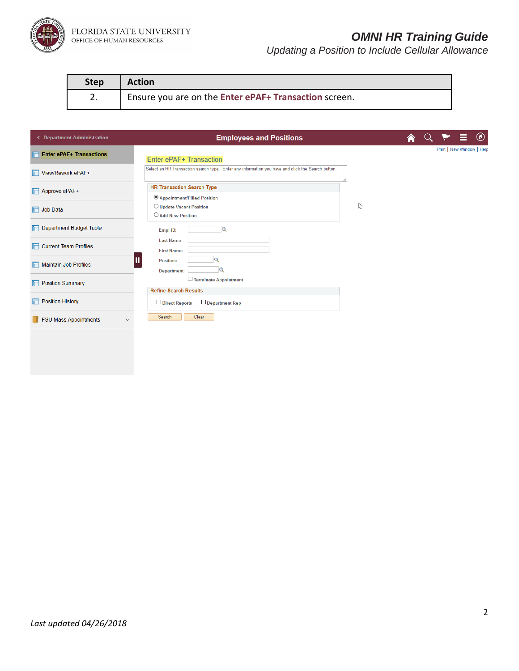

## *OMNI HR Training Guide*

| <b>Step</b> | <b>Action</b>                                         |
|-------------|-------------------------------------------------------|
| z.          | Ensure you are on the Enter ePAF+ Transaction screen. |

| < Department Administration                  | <b>Employees and Positions</b>                                                                    |   |  | $^\copyright$             |
|----------------------------------------------|---------------------------------------------------------------------------------------------------|---|--|---------------------------|
| <b>Enter ePAF+ Transactions</b>              | Enter ePAF+ Transaction                                                                           |   |  | Print   New Window   Help |
| View/Rework ePAF+                            | Select an HR Transaction search type. Enter any information you have and click the Search button. |   |  |                           |
| Approve ePAF+                                | <b>HR Transaction Search Type</b><br><sup>6</sup> Appointment/Filled Position                     |   |  |                           |
| <b>T</b> Job Data                            | O Update Vacant Position<br>○ Add New Position                                                    | ß |  |                           |
| Department Budget Table                      | lQ<br>Empl ID:                                                                                    |   |  |                           |
| $\Box$ Current Team Profiles                 | <b>Last Name:</b><br><b>First Name:</b>                                                           |   |  |                           |
| Maintain Job Profiles                        | <b>Position:</b><br><b>Department:</b>                                                            |   |  |                           |
| <b>Position Summary</b>                      | Terminate Appointment<br><b>Refine Search Results</b>                                             |   |  |                           |
| <b>Fig. Position History</b>                 | $\Box$ Direct Reports<br>$\Box$ Department Rep                                                    |   |  |                           |
| <b>FSU Mass Appointments</b><br>$\checkmark$ | Clear<br>Search                                                                                   |   |  |                           |
|                                              |                                                                                                   |   |  |                           |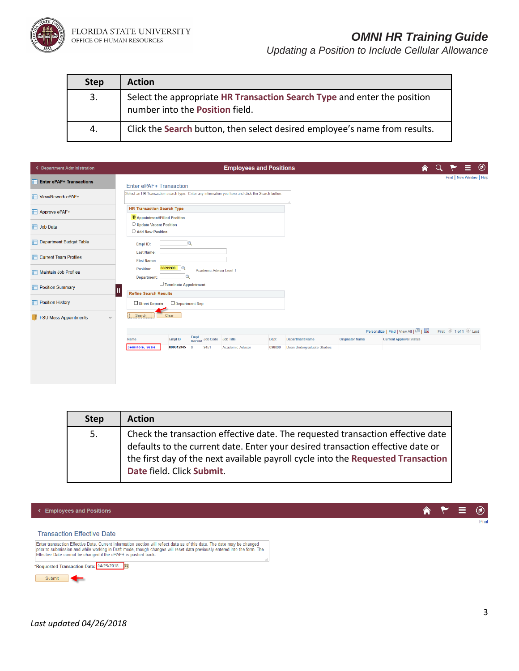

### *OMNI HR Training Guide*

*Updating a Position to Include Cellular Allowance*

| <b>Step</b> | <b>Action</b>                                                                                                      |
|-------------|--------------------------------------------------------------------------------------------------------------------|
| 3.          | Select the appropriate HR Transaction Search Type and enter the position<br>number into the <b>Position</b> field. |
| 4.          | Click the Search button, then select desired employee's name from results.                                         |

| < Department Administration                  | <b>Employees and Positions</b>                                                                                                                                   | A |                   | $\circledcirc$            |
|----------------------------------------------|------------------------------------------------------------------------------------------------------------------------------------------------------------------|---|-------------------|---------------------------|
| <b>Enter ePAF+ Transactions</b>              | Enter ePAF+ Transaction                                                                                                                                          |   |                   | Print   New Window   Help |
| View/Rework ePAF+                            | Select an HR Transaction search type. Enter any information you have and click the Search button.                                                                |   |                   |                           |
| <b>T</b> Approve ePAF+                       | <b>HR Transaction Search Type</b><br>Appointment/Filled Position                                                                                                 |   |                   |                           |
| Job Data                                     | O Update Vacant Position<br>○ Add New Position                                                                                                                   |   |                   |                           |
| Department Budget Table                      | $\alpha$<br>Empl ID:                                                                                                                                             |   |                   |                           |
| Current Team Profiles                        | <b>Last Name:</b><br><b>First Name:</b>                                                                                                                          |   |                   |                           |
| Maintain Job Profiles                        | 00099999<br>Position:<br>Academic Advisor Level 1<br><b>Department:</b>                                                                                          |   |                   |                           |
| <b>Position Summary</b>                      | □ Terminate Appointment<br>Ш<br><b>Refine Search Results</b>                                                                                                     |   |                   |                           |
| <b>Position History</b>                      | $\Box$ Department Rep<br>Direct Reports                                                                                                                          |   |                   |                           |
| <b>FSU Mass Appointments</b><br>$\checkmark$ | ←<br>Clear<br>Search                                                                                                                                             |   |                   |                           |
|                                              | Personalize   Find   View All   2                                                                                                                                |   | First 1 of 1 Last |                           |
|                                              | Empl<br>Record Job Code Job Title<br><b>Empl ID</b><br><b>Department Name</b><br><b>Originator Name</b><br><b>Current Approval Status</b><br>Dept<br><b>Name</b> |   |                   |                           |
|                                              | Seminole, Suzie<br>000012345<br>9451<br>Academic Advisor<br>098000<br>Dean Undergraduate Studies<br>$\overline{0}$                                               |   |                   |                           |
|                                              |                                                                                                                                                                  |   |                   |                           |

| <b>Step</b> | <b>Action</b>                                                                                                                                                                                                                                                                     |
|-------------|-----------------------------------------------------------------------------------------------------------------------------------------------------------------------------------------------------------------------------------------------------------------------------------|
| 5.          | Check the transaction effective date. The requested transaction effective date<br>defaults to the current date. Enter your desired transaction effective date or<br>the first day of the next available payroll cycle into the Requested Transaction<br>Date field. Click Submit. |

← Employees and Positions

Ξ  $^{\circledR}$ Print

合

#### **Transaction Effective Date**

Submit

Enter transaction Effective Date. Current Information section will reflect data as of this date. The date may be changed<br>prior to submission and while working in Draft mode, though changes will reset data previously entere \*Requested Transaction Date: 04/25/2018 3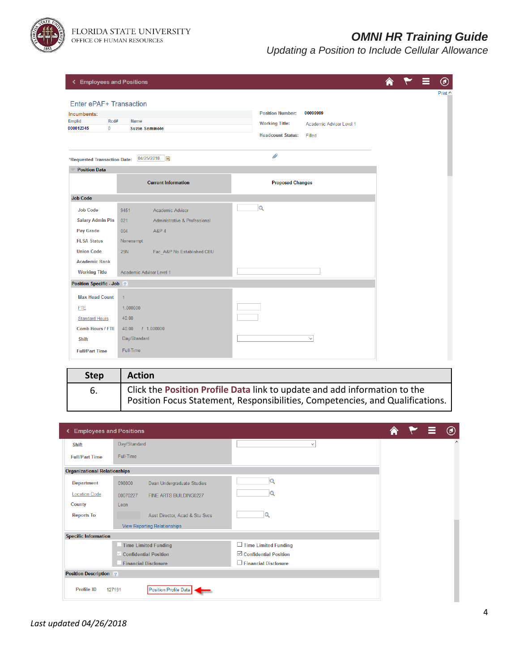

FLORIDA STATE UNIVERSITY<br>office of human resources

## *OMNI HR Training Guide*

| ← Employees and Positions                                                                    |                                          |                                                                                                                                | ► | $^\circledR$   |
|----------------------------------------------------------------------------------------------|------------------------------------------|--------------------------------------------------------------------------------------------------------------------------------|---|----------------|
| Enter ePAF+ Transaction<br>Incumbents:<br>Rcd#<br><b>Emplid</b><br>$\mathbf{0}$<br>000012345 | <b>Name</b><br><b>Suzie Seminole</b>     | <b>Position Number:</b><br>00099999<br><b>Working Title:</b><br>Academic Advisor Level 1<br><b>Headcount Status:</b><br>Filled |   | Print $\wedge$ |
| *Requested Transaction Date:                                                                 | 04/25/2018<br>BU                         | D                                                                                                                              |   |                |
| <b>Position Data</b>                                                                         |                                          |                                                                                                                                |   |                |
|                                                                                              | <b>Current Information</b>               | <b>Proposed Changes</b>                                                                                                        |   |                |
| <b>Job Code</b>                                                                              |                                          |                                                                                                                                |   |                |
| <b>Job Code</b>                                                                              | 9451<br>Academic Advisor                 | $\alpha$                                                                                                                       |   |                |
| <b>Salary Admin Pln</b>                                                                      | 021<br>Administrative & Professional     |                                                                                                                                |   |                |
| Pay Grade                                                                                    | <b>A&amp;P4</b><br>004                   |                                                                                                                                |   |                |
| <b>FLSA Status</b>                                                                           | Nonexempt                                |                                                                                                                                |   |                |
| <b>Union Code</b>                                                                            | <b>29N</b><br>Fac A&P No Established CBU |                                                                                                                                |   |                |
| <b>Academic Rank</b>                                                                         |                                          |                                                                                                                                |   |                |
| <b>Working Title</b>                                                                         | Academic Advisor Level 1                 |                                                                                                                                |   |                |
| Position Specific - Job 2                                                                    |                                          |                                                                                                                                |   |                |
| <b>Max Head Count</b>                                                                        | $\mathbf{1}$                             |                                                                                                                                |   |                |
| <b>FTE</b>                                                                                   | 1.000000                                 |                                                                                                                                |   |                |
| <b>Standard Hours</b>                                                                        | 40.00                                    |                                                                                                                                |   |                |
| <b>Comb Hours / FTE</b>                                                                      | 40.00<br>1.000000                        |                                                                                                                                |   |                |
| <b>Shift</b>                                                                                 | Day/Standard                             | $\checkmark$                                                                                                                   |   |                |
| <b>Full/Part Time</b>                                                                        | Full-Time                                |                                                                                                                                |   |                |

| <b>Step</b> | <b>Action</b>                                                                 |
|-------------|-------------------------------------------------------------------------------|
| 6.          | Click the Position Profile Data link to update and add information to the     |
|             | Position Focus Statement, Responsibilities, Competencies, and Qualifications. |

| <b>Employees and Positions</b>      |                                        |                                 |  |    |
|-------------------------------------|----------------------------------------|---------------------------------|--|----|
| Shift                               | Day/Standard                           | $\checkmark$                    |  | A. |
| <b>Full/Part Time</b>               | Full-Time                              |                                 |  |    |
| <b>Organizational Relationships</b> |                                        |                                 |  |    |
| <b>Department</b>                   | Dean Undergraduate Studies<br>098000   |                                 |  |    |
| <b>Location Code</b>                | 00070227<br>FINE ARTS BUILDING0227     |                                 |  |    |
| County                              | Leon                                   |                                 |  |    |
| <b>Reports To</b>                   | Asst Director, Acad & Stu Svcs         |                                 |  |    |
|                                     | <b>View Reporting Relationships</b>    |                                 |  |    |
| <b>Specific Information</b>         |                                        |                                 |  |    |
|                                     | <b>Time Limited Funding</b>            | $\Box$ Time Limited Funding     |  |    |
|                                     | $\vee$ Confidential Position           | $\boxdot$ Confidential Position |  |    |
|                                     | <b>Financial Disclosure</b>            | Financial Disclosure            |  |    |
| <b>Position Description</b> ?       |                                        |                                 |  |    |
| Profile ID                          | <b>Position Profile Data</b><br>127191 |                                 |  |    |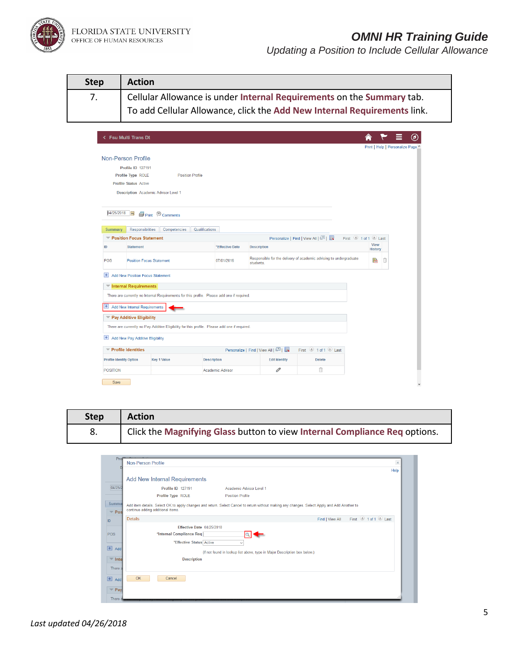FLORIDA STATE UNIVERSITY<br>OFFICE OF HUMAN RESOURCES

# *OMNI HR Training Guide*

| <b>Step</b>                             | <b>Action</b>                                                                                |                         |                                   |                                                                    |                        |                                   |
|-----------------------------------------|----------------------------------------------------------------------------------------------|-------------------------|-----------------------------------|--------------------------------------------------------------------|------------------------|-----------------------------------|
|                                         | Cellular Allowance is under Internal Requirements on the Summary tab.                        |                         |                                   |                                                                    |                        |                                   |
|                                         | To add Cellular Allowance, click the Add New Internal Requirements link.                     |                         |                                   |                                                                    |                        |                                   |
|                                         |                                                                                              |                         |                                   |                                                                    |                        |                                   |
| <b>Fsu Multi Trans Dt</b>               |                                                                                              |                         |                                   |                                                                    |                        | Ø                                 |
|                                         |                                                                                              |                         |                                   |                                                                    |                        | Print   Help   Personalize Page ^ |
| <b>Non-Person Profile</b>               |                                                                                              |                         |                                   |                                                                    |                        |                                   |
| <b>Profile ID 127191</b>                |                                                                                              |                         |                                   |                                                                    |                        |                                   |
| Profile Type ROLE                       | <b>Position Profile</b>                                                                      |                         |                                   |                                                                    |                        |                                   |
| <b>Profile Status Active</b>            |                                                                                              |                         |                                   |                                                                    |                        |                                   |
|                                         | <b>Description</b> Academic Advisor Level 1                                                  |                         |                                   |                                                                    |                        |                                   |
|                                         |                                                                                              |                         |                                   |                                                                    |                        |                                   |
| 04/25/2018<br><b>B1</b>                 | Print © Comments                                                                             |                         |                                   |                                                                    |                        |                                   |
| Summary                                 | <b>Responsibilities</b><br>Competencies                                                      | Qualifications          |                                   |                                                                    |                        |                                   |
| Position Focus Statement                |                                                                                              |                         |                                   | Personalize   Find   View All   2                                  | First 1 of 1 D Last    |                                   |
| ID<br><b>Statement</b>                  |                                                                                              | *Effective Date         | <b>Description</b>                |                                                                    | View<br><b>History</b> |                                   |
| POS                                     | <b>Position Focus Statement</b>                                                              | 07/01/2016              | students.                         | Responsible for the delivery of academic advising to undergraduate | ۵                      | Û                                 |
|                                         | + Add New Position Focus Statement                                                           |                         |                                   |                                                                    |                        |                                   |
| Internal Requirements                   |                                                                                              |                         |                                   |                                                                    |                        |                                   |
|                                         | There are currently no Internal Requirements for this profile. Please add one if required.   |                         |                                   |                                                                    |                        |                                   |
| H Add New Internal Requirements         |                                                                                              |                         |                                   |                                                                    |                        |                                   |
| Pay Additive Eligibility                |                                                                                              |                         |                                   |                                                                    |                        |                                   |
|                                         | There are currently no Pay Additive Eligibility for this profile. Please add one if required |                         |                                   |                                                                    |                        |                                   |
| Add New Pay Additive Eligibility        |                                                                                              |                         |                                   |                                                                    |                        |                                   |
| $\blacktriangledown$ Profile Identities |                                                                                              |                         | Personalize   Find   View All   2 | First 1 of 1 Last                                                  |                        |                                   |
| <b>Profile Identity Option</b>          | <b>Key 1 Value</b>                                                                           | <b>Description</b>      | <b>Edit Identity</b>              | <b>Delete</b>                                                      |                        |                                   |
| <b>POSITION</b>                         |                                                                                              | <b>Academic Advisor</b> | 0                                 | î                                                                  |                        |                                   |
|                                         |                                                                                              |                         |                                   |                                                                    |                        |                                   |

| <b>Step</b> | Action                                                                     |
|-------------|----------------------------------------------------------------------------|
|             | Click the Magnifying Glass button to view Internal Compliance Req options. |

|                                       |                                      |                                                                                                                                              |                 |                     | Help |
|---------------------------------------|--------------------------------------|----------------------------------------------------------------------------------------------------------------------------------------------|-----------------|---------------------|------|
|                                       | <b>Add New Internal Requirements</b> |                                                                                                                                              |                 |                     |      |
| 04/25/2                               | Profile ID 127191                    | Academic Advisor Level 1                                                                                                                     |                 |                     |      |
|                                       | Profile Type ROLE                    | <b>Position Profile</b>                                                                                                                      |                 |                     |      |
| Summa<br>$\overline{\phantom{a}}$ Pos | continue adding additional items.    | Add item details. Select OK to apply changes and return. Select Cancel to return without making any changes. Select Apply and Add Another to |                 |                     |      |
| <b>Details</b>                        |                                      |                                                                                                                                              | Find   View All | First 1 of 1 D Last |      |
|                                       | Effective Date 04/25/2018            |                                                                                                                                              |                 |                     |      |
|                                       | *Internal Compliance Req             |                                                                                                                                              |                 |                     |      |
|                                       | *Effective Status Active             | $\checkmark$                                                                                                                                 |                 |                     |      |
| Add                                   |                                      | (If not found in lookup list above, type in Major Description box below.)                                                                    |                 |                     |      |
| $\overline{\phantom{a}}$ Inte         | <b>Description</b>                   |                                                                                                                                              |                 |                     |      |
| There a                               |                                      |                                                                                                                                              |                 |                     |      |
| OK<br>Add                             | Cancel                               |                                                                                                                                              |                 |                     |      |
| $=$ Pay                               |                                      |                                                                                                                                              |                 |                     |      |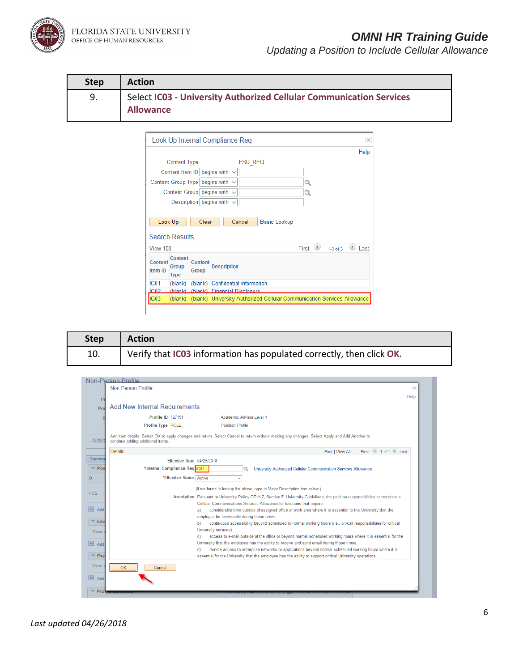FLORIDA STATE UNIVERSITY<br>OFFICE OF HUMAN RESOURCES

# *OMNI HR Training Guide*

| <b>Step</b> | <b>Action</b>                                                                           |
|-------------|-----------------------------------------------------------------------------------------|
| 9.          | Select IC03 - University Authorized Cellular Communication Services<br><b>Allowance</b> |

|                           |                                        |                                | Look Up Internal Compliance Reg       |                |                     |                           | ×    |
|---------------------------|----------------------------------------|--------------------------------|---------------------------------------|----------------|---------------------|---------------------------|------|
|                           |                                        |                                |                                       |                |                     |                           | Help |
|                           | <b>Content Type</b>                    |                                |                                       | <b>FSU REQ</b> |                     |                           |      |
|                           |                                        |                                | Content Item ID begins with $\sim$    |                |                     |                           |      |
|                           |                                        |                                | Content Group Type begins with $\sim$ |                |                     | Q                         |      |
|                           |                                        |                                | Content Group begins with $\sim$      |                |                     | Q                         |      |
|                           |                                        |                                | Description begins with $\sim$        |                |                     |                           |      |
| Look Up                   |                                        | Clear                          |                                       | Cancel         | <b>Basic Lookup</b> |                           |      |
|                           | <b>Search Results</b>                  |                                |                                       |                |                     |                           |      |
| View 100                  |                                        |                                |                                       |                |                     | First $\bigcirc$ 1-3 of 3 |      |
| Content<br><b>Item ID</b> | Content<br><b>Group</b><br><b>Type</b> | <b>Content</b><br><b>Group</b> | <b>Description</b>                    |                |                     |                           | Last |
| IC <sub>01</sub>          | (blank)                                |                                | (blank) Confidential Information      |                |                     |                           |      |
| IC02                      |                                        |                                | (blank) (blank) Financial Disclosure  |                |                     |                           |      |

| <b>Step</b> | Action                                                               |
|-------------|----------------------------------------------------------------------|
| 10.         | Verify that IC03 information has populated correctly, then click OK. |

| Non-Person Profile        |                                      |                                                                                                                                                                                                                     |                  |
|---------------------------|--------------------------------------|---------------------------------------------------------------------------------------------------------------------------------------------------------------------------------------------------------------------|------------------|
|                           | <b>Non-Person Profile</b>            |                                                                                                                                                                                                                     | $\times$<br>Help |
| P <sub>1</sub>            |                                      |                                                                                                                                                                                                                     |                  |
| Prof                      | <b>Add New Internal Requirements</b> |                                                                                                                                                                                                                     |                  |
| n                         | <b>Profile ID 127191</b>             | Academic Advisor Level 1                                                                                                                                                                                            |                  |
|                           | Profile Type ROLE                    | <b>Position Profile</b>                                                                                                                                                                                             |                  |
| 04/25/2                   | continue adding additional items.    | Add item details. Select OK to apply changes and return. Select Cancel to return without making any changes. Select Apply and Add Another to                                                                        |                  |
| <b>Details</b>            |                                      | First $\bigcirc$ 1 of 1 $\bigcirc$ 1 ast<br>Find   View All                                                                                                                                                         |                  |
| Summa                     | Effective Date 04/25/2018            |                                                                                                                                                                                                                     |                  |
| $\blacktriangledown$ Pos  | *Internal Compliance Reg C03         | University Authorized Cellular Communication Services Allowance                                                                                                                                                     |                  |
|                           | *Effective Status Active             | $\ddot{\phantom{1}}$                                                                                                                                                                                                |                  |
|                           |                                      | (If not found in lookup list above, type in Major Description box below.)                                                                                                                                           |                  |
| <b>POS</b>                |                                      | Description Pursuant to University Policy OP-H-7, Section F. University Guidelines, the position responsibilities necessitate a                                                                                     |                  |
| $\left  + \right $<br>Add |                                      | Cellular Communications Services Allowance for functions that require:                                                                                                                                              |                  |
|                           | a)                                   | considerable time outside of assigned office or work area where it is essential to the University that the<br>employee be accessible during those times.                                                            |                  |
| $\blacksquare$ Inte       | b)                                   | continuous accessibility beyond scheduled or normal working hours (i.e., on-call responsibilities for critical                                                                                                      |                  |
| There a                   | c)                                   | University services).<br>access to e-mail outside of the office or beyond normal scheduled working hours where it is essential for the                                                                              |                  |
| $+$<br>Add                |                                      | University that the employee has the ability to receive and send email during those times.                                                                                                                          |                  |
| $=$ Pay                   | d)                                   | remote access to enterprise networks or applications beyond normal scheduled working hours where it is<br>essential for the University that the employee has the ability to support critical University operations. |                  |
| There a<br>OK             | Cancel                               |                                                                                                                                                                                                                     |                  |
| $+$ Add                   |                                      |                                                                                                                                                                                                                     |                  |
| Prof                      |                                      |                                                                                                                                                                                                                     |                  |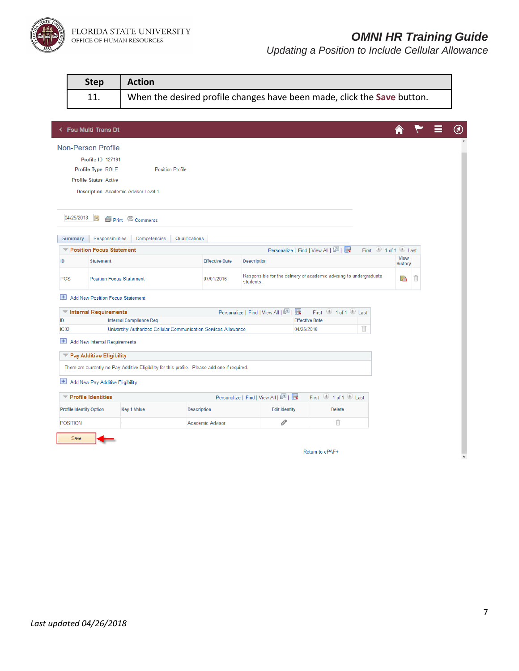

|                  | <b>Step</b>                                 | <b>Action</b>                                                                                 |                       |                                                                                 |                                   |                   |                        |  |
|------------------|---------------------------------------------|-----------------------------------------------------------------------------------------------|-----------------------|---------------------------------------------------------------------------------|-----------------------------------|-------------------|------------------------|--|
|                  | 11.                                         | When the desired profile changes have been made, click the Save button.                       |                       |                                                                                 |                                   |                   |                        |  |
|                  |                                             |                                                                                               |                       |                                                                                 |                                   |                   |                        |  |
|                  | <b>&lt; Fsu Multi Trans Dt</b>              |                                                                                               |                       |                                                                                 |                                   |                   |                        |  |
|                  | <b>Non-Person Profile</b>                   |                                                                                               |                       |                                                                                 |                                   |                   |                        |  |
|                  | Profile ID 127191                           |                                                                                               |                       |                                                                                 |                                   |                   |                        |  |
|                  | Profile Type ROLE                           | <b>Position Profile</b>                                                                       |                       |                                                                                 |                                   |                   |                        |  |
|                  | <b>Profile Status Active</b>                |                                                                                               |                       |                                                                                 |                                   |                   |                        |  |
|                  | <b>Description</b> Academic Advisor Level 1 |                                                                                               |                       |                                                                                 |                                   |                   |                        |  |
|                  |                                             |                                                                                               |                       |                                                                                 |                                   |                   |                        |  |
|                  | 04/25/2018<br><b>Bt</b>                     | Print © Comments                                                                              |                       |                                                                                 |                                   |                   |                        |  |
|                  | Responsibilities<br><b>Summary</b>          | Qualifications<br>Competencies                                                                |                       |                                                                                 |                                   |                   |                        |  |
|                  | Position Focus Statement                    |                                                                                               |                       |                                                                                 | Personalize   Find   View All   2 | First 1 of 1 Last |                        |  |
| ID               | <b>Statement</b>                            |                                                                                               | <b>Effective Date</b> | <b>Description</b>                                                              |                                   |                   | <b>View</b><br>History |  |
| POS              | <b>Position Focus Statement</b>             |                                                                                               | 07/01/2016            | Responsible for the delivery of academic advising to undergraduate<br>students. |                                   |                   | î<br>ł                 |  |
| $+$              | <b>Add New Position Focus Statement</b>     |                                                                                               |                       |                                                                                 |                                   |                   |                        |  |
|                  | Internal Requirements                       |                                                                                               |                       | Personalize   Find   View All   2  <br>L.                                       | First 1 of 1 2 Last               |                   |                        |  |
| ID               |                                             | <b>Internal Compliance Req</b>                                                                |                       |                                                                                 | <b>Effective Date</b>             |                   |                        |  |
| IC <sub>03</sub> |                                             | University Authorized Cellular Communication Services Allowance                               |                       |                                                                                 | 04/25/2018                        | Û                 |                        |  |
| $+$              | Add New Internal Requirements               |                                                                                               |                       |                                                                                 |                                   |                   |                        |  |
|                  | Pay Additive Eligibility                    |                                                                                               |                       |                                                                                 |                                   |                   |                        |  |
|                  |                                             | There are currently no Pay Additive Eligibility for this profile. Please add one if required. |                       |                                                                                 |                                   |                   |                        |  |
| $\pm$            | Add New Pay Additive Eligibility            |                                                                                               |                       |                                                                                 |                                   |                   |                        |  |
|                  | Profile Identities                          |                                                                                               |                       | Personalize   Find   View All   2                                               | First 1 of 1 2 Last               |                   |                        |  |
|                  | <b>Profile Identity Option</b>              | <b>Key 1 Value</b>                                                                            | <b>Description</b>    | <b>Edit Identity</b>                                                            | <b>Delete</b>                     |                   |                        |  |
|                  | <b>POSITION</b>                             |                                                                                               | Academic Advisor      | 0                                                                               | Û                                 |                   |                        |  |
|                  | Save                                        |                                                                                               |                       |                                                                                 |                                   |                   |                        |  |
|                  |                                             |                                                                                               |                       |                                                                                 | Return to ePAF+                   |                   |                        |  |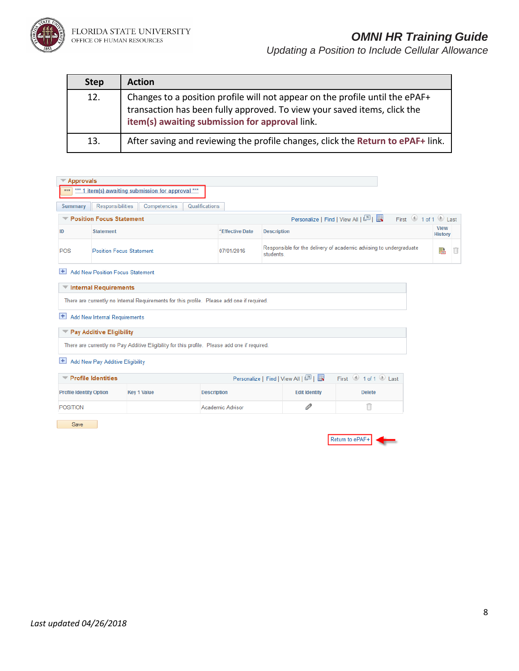

*Updating a Position to Include Cellular Allowance*

| <b>Step</b> | <b>Action</b>                                                                                                                                                                                              |
|-------------|------------------------------------------------------------------------------------------------------------------------------------------------------------------------------------------------------------|
| 12.         | Changes to a position profile will not appear on the profile until the ePAF+<br>transaction has been fully approved. To view your saved items, click the<br>item(s) awaiting submission for approval link. |
| 13.         | After saving and reviewing the profile changes, click the Return to ePAF+ link.                                                                                                                            |

| Approvals      |                                                                                               |                 |                                                                                 |                        |   |
|----------------|-----------------------------------------------------------------------------------------------|-----------------|---------------------------------------------------------------------------------|------------------------|---|
| ***            | *** 1 item(s) awaiting submission for approval ***                                            |                 |                                                                                 |                        |   |
| <b>Summary</b> | Qualifications<br>Responsibilities<br>Competencies                                            |                 |                                                                                 |                        |   |
|                | Position Focus Statement                                                                      |                 | First 1 of 1 D Last<br>Personalize   Find   View All   2                        |                        |   |
| ID             | <b>Statement</b>                                                                              | *Effective Date | <b>Description</b>                                                              | <b>View</b><br>History |   |
| <b>POS</b>     | <b>Position Focus Statement</b>                                                               | 07/01/2016      | Responsible for the delivery of academic advising to undergraduate<br>students. | P                      | Π |
| ÷              | <b>Add New Position Focus Statement</b>                                                       |                 |                                                                                 |                        |   |
|                | <b>▼ Internal Requirements</b>                                                                |                 |                                                                                 |                        |   |
|                | There are currently no Internal Requirements for this profile. Please add one if required.    |                 |                                                                                 |                        |   |
| Ŧ              | Add New Internal Requirements                                                                 |                 |                                                                                 |                        |   |
|                | Pay Additive Eligibility                                                                      |                 |                                                                                 |                        |   |
|                | There are currently no Pay Additive Eligibility for this profile. Please add one if required. |                 |                                                                                 |                        |   |
| Ŧ              | Add New Pay Additive Eligibility                                                              |                 |                                                                                 |                        |   |
|                | $\blacktriangledown$ Profile Identities                                                       |                 | First 1 of 1 D Last<br>Personalize   Find   View All   2                        |                        |   |

| <b>Profile Identities</b><br>Personalize   Find   View All   ピ   ■ |                    |                    |                      | First 1 of 1 Last |
|--------------------------------------------------------------------|--------------------|--------------------|----------------------|-------------------|
| <b>Profile Identity Option</b>                                     | <b>Key 1 Value</b> | <b>Description</b> | <b>Edit Identity</b> | <b>Delete</b>     |
| <b>POSITION</b>                                                    |                    | Academic Advisor   |                      |                   |

Save

| Return to ePA' |  |
|----------------|--|
|----------------|--|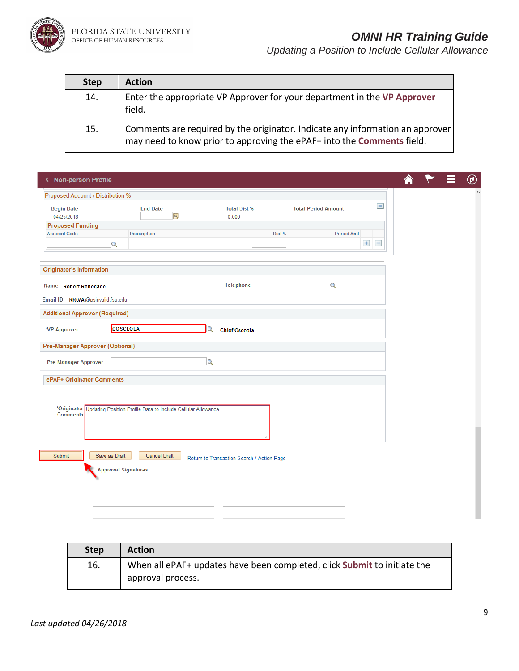

# *OMNI HR Training Guide*

| <b>Step</b> | <b>Action</b>                                                                                                                                           |
|-------------|---------------------------------------------------------------------------------------------------------------------------------------------------------|
| 14.         | Enter the appropriate VP Approver for your department in the VP Approver<br>field.                                                                      |
| 15.         | Comments are required by the originator. Indicate any information an approver<br>may need to know prior to approving the ePAF+ into the Comments field. |

| < Non-person Profile                   |                                                                          |                                            |                             |                   |  | $^{\circledR}$ |
|----------------------------------------|--------------------------------------------------------------------------|--------------------------------------------|-----------------------------|-------------------|--|----------------|
| Proposed Account / Distribution %      |                                                                          |                                            |                             |                   |  |                |
| <b>Begin Date</b><br>04/25/2018        | <b>End Date</b><br>$\mathbf{B}$                                          | <b>Total Dist %</b><br>0.000               | <b>Total Period Amount</b>  | $\qquad \qquad -$ |  |                |
| <b>Proposed Funding</b>                |                                                                          |                                            |                             |                   |  |                |
| <b>Account Code</b>                    | <b>Description</b>                                                       |                                            | Dist %<br><b>Period Amt</b> |                   |  |                |
| $\mathbf{Q}$                           |                                                                          |                                            |                             | $+$ $-$           |  |                |
|                                        |                                                                          |                                            |                             |                   |  |                |
| <b>Originator's Information</b>        |                                                                          |                                            |                             |                   |  |                |
| Name Robert Renegade                   |                                                                          | <b>Telephone</b>                           | $\alpha$                    |                   |  |                |
| Email ID  RR07A@psinvalid.fsu.edu      |                                                                          |                                            |                             |                   |  |                |
| <b>Additional Approver (Required)</b>  |                                                                          |                                            |                             |                   |  |                |
| <b>COSCEOLA</b><br>*VP Approver        |                                                                          | Q<br><b>Chief Osceola</b>                  |                             |                   |  |                |
| <b>Pre-Manager Approver (Optional)</b> |                                                                          |                                            |                             |                   |  |                |
| <b>Pre-Manager Approver</b>            |                                                                          | $\overline{\mathbf{Q}}$                    |                             |                   |  |                |
| ePAF+ Originator Comments              |                                                                          |                                            |                             |                   |  |                |
|                                        |                                                                          |                                            |                             |                   |  |                |
|                                        | *Originator Updating Position Profile Data to include Cellular Allowance |                                            |                             |                   |  |                |
| <b>Comments</b>                        |                                                                          |                                            |                             |                   |  |                |
|                                        |                                                                          |                                            |                             |                   |  |                |
|                                        |                                                                          |                                            |                             |                   |  |                |
| Submit<br>Save as Draft                | <b>Cancel Draft</b>                                                      | Return to Transaction Search / Action Page |                             |                   |  |                |
| <b>Approval Signatures</b>             |                                                                          |                                            |                             |                   |  |                |
|                                        |                                                                          |                                            |                             |                   |  |                |
|                                        |                                                                          |                                            |                             |                   |  |                |
|                                        |                                                                          |                                            |                             |                   |  |                |
|                                        |                                                                          |                                            |                             |                   |  |                |

| <b>Step</b> | <b>Action</b>                                                            |
|-------------|--------------------------------------------------------------------------|
| 16.         | When all ePAF+ updates have been completed, click Submit to initiate the |
|             | approval process.                                                        |